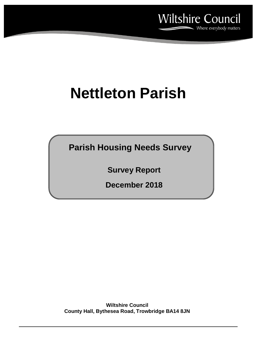

# **Nettleton Parish**

**Parish Housing Needs Survey**

**Survey Report**

**December 2018**

**Wiltshire Council County Hall, Bythesea Road, Trowbridge BA14 8JN**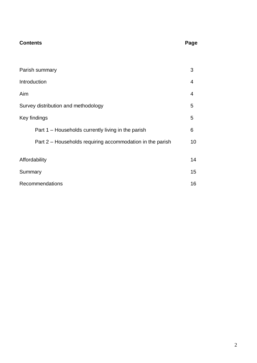## **Contents** Page

| Parish summary                                            | 3  |  |  |  |
|-----------------------------------------------------------|----|--|--|--|
| Introduction                                              |    |  |  |  |
| Aim                                                       | 4  |  |  |  |
| Survey distribution and methodology                       |    |  |  |  |
| Key findings                                              |    |  |  |  |
| Part 1 – Households currently living in the parish        | 6  |  |  |  |
| Part 2 – Households requiring accommodation in the parish | 10 |  |  |  |
| Affordability                                             | 14 |  |  |  |
| Summary                                                   |    |  |  |  |
| <b>Recommendations</b>                                    |    |  |  |  |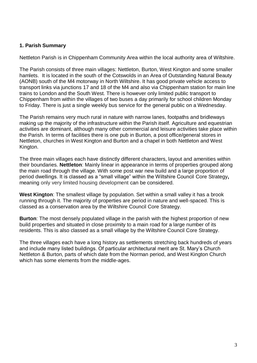#### **1. Parish Summary**

Nettleton Parish is in Chippenham Community Area within the local authority area of Wiltshire.

The Parish consists of three main villages: Nettleton, Burton, West Kington and some smaller hamlets. It is located in the south of the Cotswolds in an Area of Outstanding Natural Beauty (AONB) south of the M4 motorway in North Wiltshire. It has good private vehicle access to transport links via junctions 17 and 18 of the M4 and also via Chippenham station for main line trains to London and the South West. There is however only limited public transport to Chippenham from within the villages of two buses a day primarily for school children Monday to Friday. There is just a single weekly bus service for the general public on a Wednesday.

The Parish remains very much rural in nature with narrow lanes, footpaths and bridleways making up the majority of the infrastructure within the Parish itself. Agriculture and equestrian activities are dominant, although many other commercial and leisure activities take place within the Parish. In terms of facilities there is one pub in Burton, a post office/general stores in Nettleton, churches in West Kington and Burton and a chapel in both Nettleton and West Kington.

The three main villages each have distinctly different characters, layout and amenities within their boundaries. **Nettleton**: Mainly linear in appearance in terms of properties grouped along the main road through the village. With some post war new build and a large proportion of period dwellings. It is classed as a "small village" within the Wiltshire Council Core Strategy**,** meaning only very limited housing development can be considered.

**West Kington**: The smallest village by population. Set within a small valley it has a brook running through it. The majority of properties are period in nature and well-spaced. This is classed as a conservation area by the Wiltshire Council Core Strategy.

**Burton**: The most densely populated village in the parish with the highest proportion of new build properties and situated in close proximity to a main road for a large number of its residents. This is also classed as a small village by the Wiltshire Council Core Strategy.

The three villages each have a long history as settlements stretching back hundreds of years and include many listed buildings. Of particular architectural merit are St. Mary's Church Nettleton & Burton, parts of which date from the Norman period, and West Kington Church which has some elements from the middle-ages.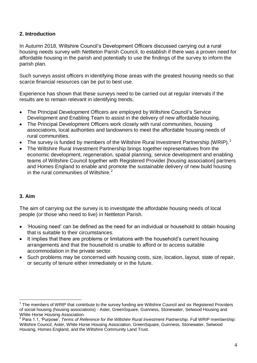### **2. Introduction**

In Autumn 2018, Wiltshire Council's Development Officers discussed carrying out a rural housing needs survey with Nettleton Parish Council, to establish if there was a proven need for affordable housing in the parish and potentially to use the findings of the survey to inform the parish plan.

Such surveys assist officers in identifying those areas with the greatest housing needs so that scarce financial resources can be put to best use.

Experience has shown that these surveys need to be carried out at regular intervals if the results are to remain relevant in identifying trends.

- The Principal Development Officers are employed by Wiltshire Council's Service Development and Enabling Team to assist in the delivery of new affordable housing.
- The Principal Development Officers work closely with rural communities, housing associations, local authorities and landowners to meet the affordable housing needs of rural communities.
- The survey is funded by members of the Wiltshire Rural Investment Partnership (WRIP).<sup>1</sup>
- The Wiltshire Rural Investment Partnership brings together representatives from the economic development, regeneration, spatial planning, service development and enabling teams of Wiltshire Council together with Registered Provider [housing association] partners and Homes England to enable and promote the sustainable delivery of new build housing in the rural communities of Wiltshire. $<sup>2</sup>$ </sup>

#### **3. Aim**

 $\overline{a}$ 

The aim of carrying out the survey is to investigate the affordable housing needs of local people (or those who need to live) in Nettleton Parish.

- 'Housing need' can be defined as the need for an individual or household to obtain housing that is suitable to their circumstances.
- It implies that there are problems or limitations with the household's current housing arrangements and that the household is unable to afford or to access suitable accommodation in the private sector.
- Such problems may be concerned with housing costs, size, location, layout, state of repair, or security of tenure either immediately or in the future.

<sup>1</sup> The members of WRIP that contribute to the survey funding are Wiltshire Council and six Registered Providers of social housing (housing associations) - Aster, GreenSquare, Guinness, Stonewater, Selwood Housing and White Horse Housing Association.

<sup>&</sup>lt;sup>2</sup> Para 1.1, 'Purpose', *Terms of Reference for the Wiltshire Rural Investment Partnership*. Full WRIP membership: Wiltshire Council, Aster, White Horse Housing Association, GreenSquare, Guinness, Stonewater, Selwood Housing, Homes England, and the Wiltshire Community Land Trust.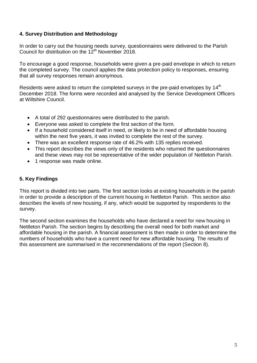#### **4. Survey Distribution and Methodology**

In order to carry out the housing needs survey, questionnaires were delivered to the Parish Council for distribution on the  $12<sup>th</sup>$  November 2018.

To encourage a good response, households were given a pre-paid envelope in which to return the completed survey. The council applies the data protection policy to responses, ensuring that all survey responses remain anonymous.

Residents were asked to return the completed surveys in the pre-paid envelopes by 14<sup>th</sup> December 2018. The forms were recorded and analysed by the Service Development Officers at Wiltshire Council.

- A total of 292 questionnaires were distributed to the parish.
- Everyone was asked to complete the first section of the form.
- If a household considered itself in need, or likely to be in need of affordable housing within the next five years, it was invited to complete the rest of the survey.
- There was an excellent response rate of 46.2% with 135 replies received.
- This report describes the views only of the residents who returned the questionnaires
- and these views may not be representative of the wider population of Nettleton Parish. • 1 response was made online.

#### **5. Key Findings**

This report is divided into two parts. The first section looks at existing households in the parish in order to provide a description of the current housing in Nettleton Parish. This section also describes the levels of new housing, if any, which would be supported by respondents to the survey.

The second section examines the households who have declared a need for new housing in Nettleton Parish. The section begins by describing the overall need for both market and affordable housing in the parish. A financial assessment is then made in order to determine the numbers of households who have a current need for new affordable housing. The results of this assessment are summarised in the recommendations of the report (Section 8).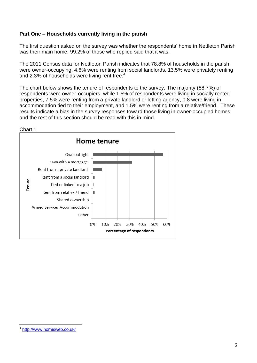#### **Part One – Households currently living in the parish**

The first question asked on the survey was whether the respondents' home in Nettleton Parish was their main home. 99.2% of those who replied said that it was.

The 2011 Census data for Nettleton Parish indicates that 78.8% of households in the parish were owner-occupying, 4.6% were renting from social landlords, 13.5% were privately renting and 2.3% of households were living rent free.<sup>3</sup>

The chart below shows the tenure of respondents to the survey. The majority (88.7%) of respondents were owner-occupiers, while 1.5% of respondents were living in socially rented properties, 7.5% were renting from a private landlord or letting agency, 0.8 were living in accommodation tied to their employment, and 1.5% were renting from a relative/friend. These results indicate a bias in the survey responses toward those living in owner-occupied homes and the rest of this section should be read with this in mind.



Chart 1

 $\overline{a}$ 3 <http://www.nomisweb.co.uk/>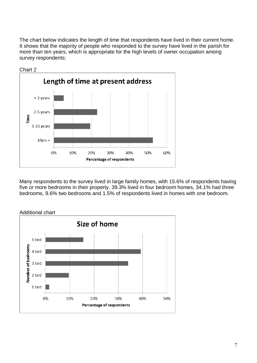The chart below indicates the length of time that respondents have lived in their current home. It shows that the majority of people who responded to the survey have lived in the parish for more than ten years, which is appropriate for the high levels of owner occupation among survey respondents:



Chart 2

Many respondents to the survey lived in large family homes, with 15.6% of respondents having five or more bedrooms in their property. 39.3% lived in four bedroom homes, 34.1% had three bedrooms, 9.6% two bedrooms and 1.5% of respondents lived in homes with one bedroom.

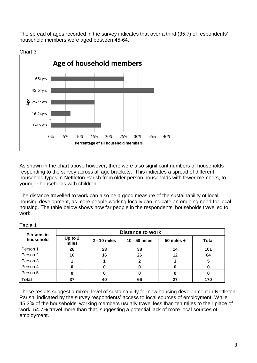The spread of ages recorded in the survey indicates that over a third (35.7) of respondents' household members were aged between 45-64.



As shown in the chart above however, there were also significant numbers of households responding to the survey across all age brackets. This indicates a spread of different household types in Nettleton Parish from older person households with fewer members, to younger households with children.

The distance travelled to work can also be a good measure of the sustainability of local housing development, as more people working locally can indicate an ongoing need for local housing. The table below shows how far people in the respondents' households travelled to work:

| Persons in   | <b>Distance to work</b> |              |               |              |              |
|--------------|-------------------------|--------------|---------------|--------------|--------------|
| household    | Up to 2<br>miles        | 2 - 10 miles | 10 - 50 miles | 50 miles $+$ | <b>Total</b> |
| Person 1     | 26                      | 23           | 38            | 14           | 101          |
| Person 2     | 10                      | 16           | 26            | 12           | 64           |
| Person 3     |                         |              |               |              |              |
| Person 4     |                         |              |               |              |              |
| Person 5     |                         |              |               |              |              |
| <b>Total</b> | 37                      | 40           | 66            |              | 170          |

Table 1

These results suggest a mixed level of sustainability for new housing development in Nettleton Parish, indicated by the survey respondents' access to local sources of employment. While 45.3% of the households' working members usually travel less than ten miles to their place of work, 54.7% travel more than that, suggesting a potential lack of more local sources of employment.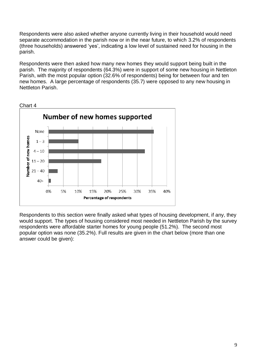Respondents were also asked whether anyone currently living in their household would need separate accommodation in the parish now or in the near future, to which 3.2% of respondents (three households) answered 'yes', indicating a low level of sustained need for housing in the parish.

Respondents were then asked how many new homes they would support being built in the parish. The majority of respondents (64.3%) were in support of some new housing in Nettleton Parish, with the most popular option (32.6% of respondents) being for between four and ten new homes. A large percentage of respondents (35.7) were opposed to any new housing in Nettleton Parish.



Chart 4

Respondents to this section were finally asked what types of housing development, if any, they would support. The types of housing considered most needed in Nettleton Parish by the survey respondents were affordable starter homes for young people (51.2%). The second most popular option was none (35.2%). Full results are given in the chart below (more than one answer could be given):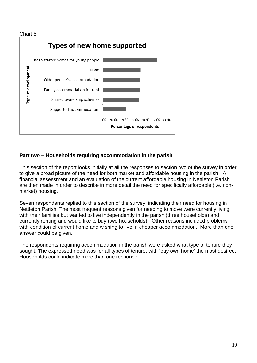

#### **Part two – Households requiring accommodation in the parish**

This section of the report looks initially at all the responses to section two of the survey in order to give a broad picture of the need for both market and affordable housing in the parish. A financial assessment and an evaluation of the current affordable housing in Nettleton Parish are then made in order to describe in more detail the need for specifically affordable (i.e. nonmarket) housing.

Seven respondents replied to this section of the survey, indicating their need for housing in Nettleton Parish. The most frequent reasons given for needing to move were currently living with their families but wanted to live independently in the parish (three households) and currently renting and would like to buy (two households). Other reasons included problems with condition of current home and wishing to live in cheaper accommodation. More than one answer could be given.

The respondents requiring accommodation in the parish were asked what type of tenure they sought. The expressed need was for all types of tenure, with 'buy own home' the most desired. Households could indicate more than one response: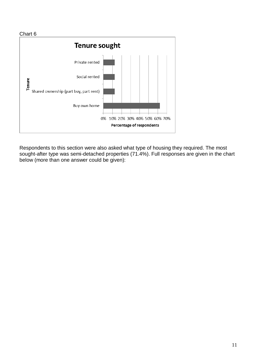

Respondents to this section were also asked what type of housing they required. The most sought-after type was semi-detached properties (71.4%). Full responses are given in the chart below (more than one answer could be given):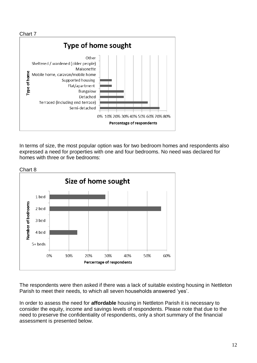

In terms of size, the most popular option was for two bedroom homes and respondents also expressed a need for properties with one and four bedrooms. No need was declared for homes with three or five bedrooms:



The respondents were then asked if there was a lack of suitable existing housing in Nettleton Parish to meet their needs, to which all seven households answered 'yes'.

In order to assess the need for **affordable** housing in Nettleton Parish it is necessary to consider the equity, income and savings levels of respondents. Please note that due to the need to preserve the confidentiality of respondents, only a short summary of the financial assessment is presented below.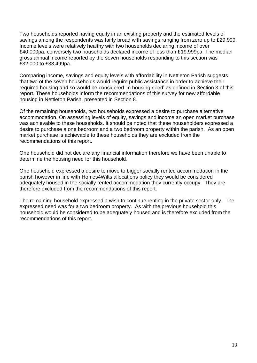Two households reported having equity in an existing property and the estimated levels of savings among the respondents was fairly broad with savings ranging from zero up to £29,999. Income levels were relatively healthy with two households declaring income of over £40,000pa, conversely two households declared income of less than £19,999pa. The median gross annual income reported by the seven households responding to this section was £32,000 to £33,499pa.

Comparing income, savings and equity levels with affordability in Nettleton Parish suggests that two of the seven households would require public assistance in order to achieve their required housing and so would be considered 'in housing need' as defined in Section 3 of this report. These households inform the recommendations of this survey for new affordable housing in Nettleton Parish, presented in Section 8.

Of the remaining households, two households expressed a desire to purchase alternative accommodation. On assessing levels of equity, savings and income an open market purchase was achievable to these households. It should be noted that these householders expressed a desire to purchase a one bedroom and a two bedroom property within the parish. As an open market purchase is achievable to these households they are excluded from the recommendations of this report.

One household did not declare any financial information therefore we have been unable to determine the housing need for this household.

One household expressed a desire to move to bigger socially rented accommodation in the parish however in line with Homes4Wilts allocations policy they would be considered adequately housed in the socially rented accommodation they currently occupy. They are therefore excluded from the recommendations of this report.

The remaining household expressed a wish to continue renting in the private sector only. The expressed need was for a two bedroom property. As with the previous household this household would be considered to be adequately housed and is therefore excluded from the recommendations of this report.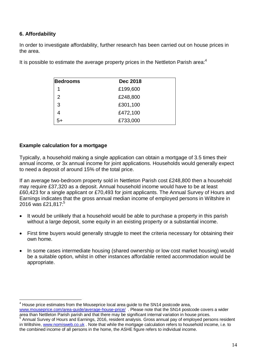#### **6. Affordability**

 $\overline{a}$ 

In order to investigate affordability, further research has been carried out on house prices in the area.

| <b>Bedrooms</b> | <b>Dec 2018</b> |
|-----------------|-----------------|
| 1               | £199,600        |
| 2               | £248,800        |
| 3               | £301,100        |
|                 | £472,100        |
| 5+              | £733,000        |

It is possible to estimate the average property prices in the Nettleton Parish area: $4$ 

#### **Example calculation for a mortgage**

Typically, a household making a single application can obtain a mortgage of 3.5 times their annual income, or 3x annual income for joint applications. Households would generally expect to need a deposit of around 15% of the total price.

If an average two-bedroom property sold in Nettleton Parish cost £248,800 then a household may require £37,320 as a deposit. Annual household income would have to be at least £60,423 for a single applicant or £70,493 for joint applicants. The Annual Survey of Hours and Earnings indicates that the gross annual median income of employed persons in Wiltshire in 2016 was £21,817:<sup>5</sup>

- It would be unlikely that a household would be able to purchase a property in this parish without a large deposit, some equity in an existing property or a substantial income.
- First time buyers would generally struggle to meet the criteria necessary for obtaining their own home.
- In some cases intermediate housing (shared ownership or low cost market housing) would be a suitable option, whilst in other instances affordable rented accommodation would be appropriate.

<sup>4</sup> House price estimates from the Mouseprice local area guide to the SN14 postcode area, [www.mouseprice.com/area-guide/average-house-price/](http://www.mouseprice.com/area-guide/average-house-price/) . Please note that the SN14 postcode covers a wider area than Nettleton Parish parish and that there may be significant internal variation in house prices.

<sup>5</sup> Annual Survey of Hours and Earnings, 2016, resident analysis. Gross annual pay of employed persons resident in Wiltshire, [www.nomisweb.co.uk](http://www.nomisweb.co.uk/) . Note that while the mortgage calculation refers to household income, i.e. to the combined income of all persons in the home, the ASHE figure refers to individual income.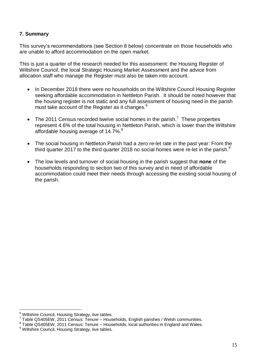#### **7. Summary**

This survey's recommendations (see Section 8 below) concentrate on those households who are unable to afford accommodation on the open market.

This is just a quarter of the research needed for this assessment: the Housing Register of Wiltshire Council, the local Strategic Housing Market Assessment and the advice from allocation staff who manage the Register must also be taken into account.

- In December 2018 there were no households on the Wiltshire Council Housing Register seeking affordable accommodation in Nettleton Parish. It should be noted however that the housing register is not static and any full assessment of housing need in the parish must take account of the Register as it changes.<sup>6</sup>
- The 2011 Census recorded twelve social homes in the parish.<sup>7</sup> These properties represent 4.6% of the total housing in Nettleton Parish, which is lower than the Wiltshire affordable housing average of 14.7%.<sup>8</sup>
- The social housing in Nettleton Parish had a zero re-let rate in the past year: From the third quarter 2017 to the third quarter 2018 no social homes were re-let in the parish.<sup>9</sup>
- The low levels and turnover of social housing in the parish suggest that **none** of the households responding to section two of this survey and in need of affordable accommodation could meet their needs through accessing the existing social housing of the parish.

 $\overline{a}$  $^6$  Wiltshire Council, Housing Strategy, live tables.

 $7$  Table QS405EW, 2011 Census: Tenure – Households, English parishes / Welsh communities.

<sup>&</sup>lt;sup>8</sup> Table QS405EW, 2011 Census: Tenure – Households, local authorities in England and Wales.

<sup>&</sup>lt;sup>9</sup> Wiltshire Council, Housing Strategy, live tables.